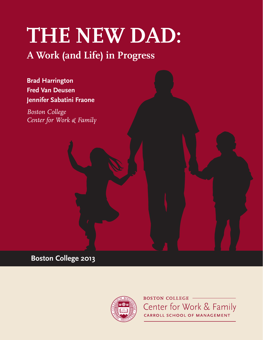# **THE NEW DAD:**

# **A Work (and Life) in Progress**

**Brad Harrington Fred Van Deusen Jennifer Sabatini Fraone**

*Boston College Center for Work & Family*

**Boston College 2013**



**BOSTON COLLEGE -**Center for Work & Family CARROLL SCHOOL OF MANAGEMENT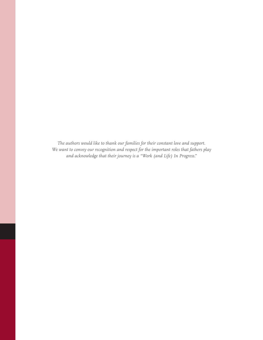*The authors would like to thank our families for their constant love and support. We want to convey our recognition and respect for the important roles that fathers play and acknowledge that their journey is a "Work (and Life) In Progress."*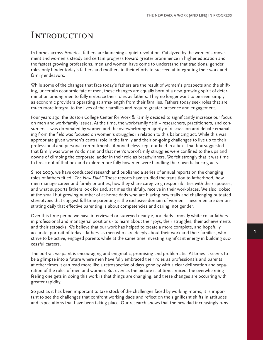# **INTRODUCTION**

In homes across America, fathers are launching a quiet revolution. Catalyzed by the women's movement and women's steady and certain progress toward greater prominence in higher education and the fastest growing professions, men and women have come to understand that traditional gender roles only hinder today's fathers and mothers in their efforts to succeed at integrating their work and family endeavors.

While some of the changes that face today's fathers are the result of women's prospects and the shifting, uncertain economic fate of men, these changes are equally born of a new, growing spirit of determination among men to fully embrace their roles as fathers. They no longer want to be seen simply as economic providers operating at arms-length from their families. Fathers today seek roles that are much more integral to the lives of their families and require greater presence and engagement.

Four years ago, the Boston College Center for Work & Family decided to significantly increase our focus on men and work-family issues. At the time, the work-family field -- researchers, practitioners, and consumers -- was dominated by women and the overwhelming majority of discussion and debate emanating from the field was focused on women's struggles in relation to this balancing act. While this was appropriate given women's central role in the family and their on-going challenges to live up to their professional and personal commitments, it nonetheless kept our field in a box. That box suggested that family was women's domain and that men's work-family struggles were confined to the ups and downs of climbing the corporate ladder in their role as breadwinners. We felt strongly that it was time to break out of that box and explore more fully how men were handling their own balancing acts.

Since 2009, we have conducted research and published a series of annual reports on the changing roles of fathers titled "*The New Dad*." These reports have studied the transition to fatherhood, how men manage career and family priorities, how they share caregiving responsibilities with their spouses, and what supports fathers look for and, at times thankfully, receive in their workplaces. We also looked at the small but growing number of at-home dads who are blazing new trails and challenging outdated stereotypes that suggest full-time parenting is the exclusive domain of women. These men are demonstrating daily that effective parenting is about competencies and caring, not gender.

Over this time period we have interviewed or surveyed nearly 2,000 dads - mostly white collar fathers in professional and managerial positions - to learn about their joys, their struggles, their achievements and their setbacks. We believe that our work has helped to create a more complete, and hopefully accurate, portrait of today's fathers as men who care deeply about their work and their families, who strive to be active, engaged parents while at the same time investing significant energy in building successful careers.

The portrait we paint is encouraging and enigmatic, promising and problematic. At times it seems to be a glimpse into a future where men have fully embraced their roles as professionals and parents; at other times it can read more like a retrospective of days gone by with a clear delineation and separation of the roles of men and women. But even as the picture is at times mixed, the overwhelming feeling one gets in doing this work is that things are changing, and these changes are occurring with greater rapidity.

So just as it has been important to take stock of the challenges faced by working moms, it is important to see the challenges that confront working dads and reflect on the significant shifts in attitudes and expectations that have been taking place. Our research shows that the new dad increasingly runs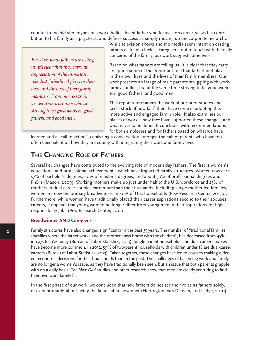counter to the old stereotypes of a workaholic, absent father who focuses on career, views his contribution to his family as a paycheck, and defines success as simply moving up the corporate hierarchy.

*Based on what fathers are telling us, it's clear that they carry an appreciation of the important role that fatherhood plays in their lives and the lives of their family members. From our research, we see American men who are striving to be good workers, good fathers, and good men.*

While television shows and the media seem intent on casting fathers as inept, clueless caregivers, out of touch with the daily concerns of the family, our work suggests otherwise.

Based on what fathers are telling us, it is clear that they carry an appreciation of the important role that fatherhood plays in their own lives and the lives of their family members. Our work presents an image of male parents struggling with workfamily conflict, but at the same time striving to be good workers, good fathers, and good men.

This report summarizes the work of our prior studies and takes stock of how far fathers have come in adopting this more active and engaged family role. It also examines our places of work – how they have supported these changes, and what is yet to be done. It concludes with recommendations for both employers and for fathers based on what we have

learned and a "call to action", catalyzing a conversation amongst the half of parents who have too often been silent on how they are coping with integrating their work and family lives.

## **The Changing Role of Fathers**

Several key changes have contributed to the evolving role of modern day fathers. The first is women's educational and professional achievements, which have impacted family structures. Women now earn 57% of bachelor's degrees, 60% of master's degrees, and about 50% of professional degrees and PhD's (Mason, 2009). Working mothers make up just under half of the U.S. workforce and 23% of mothers in dual-career couples earn more than their husbands. Including single mother-led families, women are now the primary breadwinners in 40% of U.S. households (Pew Research Center, 2013b). Furthermore, while women have traditionally placed their career aspirations second to their spouses' careers, it appears that young women no longer differ from young men in their aspirations for highresponsibility jobs (Pew Research Center, 2012).

#### **Breadwinner AND Caregiver**

Family structures have also changed significantly in the past 35 years. The number of "traditional families" (families where the father works and the mother stays home with the children), has decreased from 45% in 1975 to 31% today (Bureau of Labor Statistics, 2013). Single-parent households and dual-career couples have become more common. In 2012, 59% of two-parent households with children under 18 are dual-career earners (Bureau of Labor Statistics, 2013). Taken together, these changes have led to couples making different economic decisions for their households than in the past. The challenges of balancing work and family are no longer a women's issue, as they have traditionally been seen, but an issue that both parents grapple with on a daily basis. *The New Dad* studies and other research show that men are clearly venturing to find their own work-family fit.

In the first phase of our work, we concluded that new fathers do not see their roles as fathers solely, or even primarily, about being the financial breadwinner (Harrington, Van Deusen, and Ladge, 2010).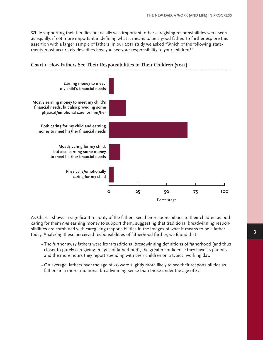While supporting their families financially was important, other caregiving responsibilities were seen as equally, if not more important in defining what it means to be a good father. To further explore this assertion with a larger sample of fathers, in our 2011 study we asked "Which of the following statements most accurately describes how you see your responsibility to your children?"



#### **Chart 1: How Fathers See Their Responsibilities to Their Children (2011)**

As Chart 1 shows, a significant majority of the fathers see their responsibilities to their children as both caring for them *and* earning money to support them, suggesting that traditional breadwinning responsibilities are combined with caregiving responsibilities in the images of what it means to be a father today. Analyzing these perceived responsibilities of fatherhood further, we found that:

- The further away fathers were from traditional breadwinning definitions of fatherhood (and thus closer to purely caregiving images of fatherhood), the greater confidence they have as parents and the more hours they report spending with their children on a typical working day.
- On average, fathers over the age of 40 were slightly more likely to see their responsibilities as fathers in a more traditional breadwinning sense than those under the age of 40.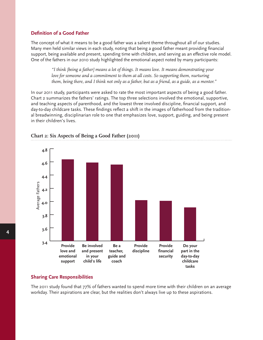#### **Definition of a Good Father**

The concept of what it means to be a good father was a salient theme throughout all of our studies. Many men held similar views in each study, noting that being a good father meant providing financial support, being available and present, spending time with children, and serving as an effective role model. One of the fathers in our 2010 study highlighted the emotional aspect noted by many participants:

> *"I think [being a father] means a lot of things. It means love. It means demonstrating your*  love for someone and a commitment to them at all costs. So supporting them, nurturing *them, being there, and I think not only as a father, but as a friend, as a guide, as a mentor."*

In our 2011 study, participants were asked to rate the most important aspects of being a good father. Chart 2 summarizes the fathers' ratings. The top three selections involved the emotional, supportive, and teaching aspects of parenthood, and the lowest three involved discipline, financial support, and day-to-day childcare tasks. These findings reflect a shift in the images of fatherhood from the traditional breadwinning, disciplinarian role to one that emphasizes love, support, guiding, and being present in their children's lives.



#### **Chart 2: Six Aspects of Being a Good Father (2011)**

#### **Sharing Care Responsibilities**

The 2011 study found that 77% of fathers wanted to spend more time with their children on an average workday. Their aspirations are clear, but the realities don't always live up to these aspirations.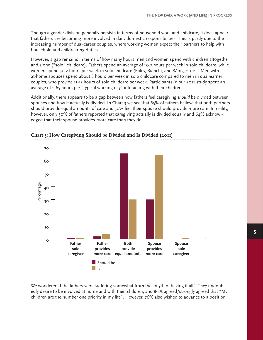Though a gender division generally persists in terms of household work and childcare, it does appear that fathers are becoming more involved in daily domestic responsibilities. This is partly due to the increasing number of dual-career couples, where working women expect their partners to help with household and childrearing duties.

However, a gap remains in terms of how many hours men and women spend with children altogether and alone ("solo" childcare). Fathers spend an average of 10.7 hours per week in solo childcare, while women spend 30.2 hours per week in solo childcare (Raley, Bianchi, and Wang, 2012). Men with at-home spouses spend about 8 hours per week in solo childcare compared to men in dual-earner couples, who provide 11-15 hours of solo childcare per week. Participants in our 2011 study spent an average of 2.65 hours per "typical working day" interacting with their children.

Additionally, there appears to be a gap between how fathers feel caregiving *should* be divided between spouses and how it actually is divided. In Chart 3 we see that 65% of fathers believe that both partners should provide equal amounts of care and 30% feel their spouse should provide more care. In reality, however, only 30% of fathers reported that caregiving actually is divided equally and 64% acknowledged that their spouse provides more care than they do.





We wondered if the fathers were suffering somewhat from the "myth of having it all". They undoubtedly desire to be involved at home and with their children, and 86% agreed/strongly agreed that "My children are the number one priority in my life". However, 76% also wished to advance to a position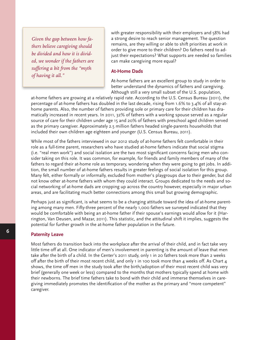*Given the gap between how fathers believe caregiving should be divided and how it is divided, we wonder if the fathers are suffering a bit from the "myth of having it all."*

with greater responsibility with their employers and 58% had a strong desire to reach senior management. The question remains, are they willing or able to shift priorities at work in order to give more to their children? Do fathers need to adjust their expectations? What supports are needed so families can make caregiving more equal?

#### **At-Home Dads**

At-home fathers are an excellent group to study in order to better understand the dynamics of fathers and caregiving. Although still a very small subset of the U.S. population,

at-home fathers are growing at a relatively rapid rate. According to the U.S. Census Bureau (2011), the percentage of at-home fathers has doubled in the last decade, rising from 1.6% to 3.4% of all stay-athome parents. Also, the number of fathers providing sole or primary care for their children has dramatically increased in recent years. In 2011, 32% of fathers with a working spouse served as a regular source of care for their children under age 15 and 20% of fathers with preschool aged children served as the primary caregiver. Approximately 2.5 million fathers headed single-parents households that included their own children age eighteen and younger (U.S. Census Bureau, 2011).

While most of the fathers interviewed in our 2012 study of at-home fathers felt comfortable in their role as a full-time parent, researchers who have studied at-home fathers indicate that social stigma (i.e. "real men work") and social isolation are the two most significant concerns facing men who consider taking on this role. It was common, for example, for friends and family members of many of the fathers to regard their at-home role as temporary, wondering when they were going to get jobs. In addition, the small number of at-home fathers results in greater feelings of social isolation for this group. Many felt, either formally or informally, excluded from mother's playgroups due to their gender, but did not know other at-home fathers with whom they could interact. Groups dedicated to the needs and social networking of at-home dads are cropping up across the country however, especially in major urban areas, and are facilitating much better connections among this small but growing demographic.

Perhaps just as significant, is what seems to be a changing attitude toward the idea of at-home parenting among many men. Fifty-three percent of the nearly 1,000 fathers we surveyed indicated that they would be comfortable with being an at-home father if their spouse's earnings would allow for it (Harrington, Van Deusen, and Mazar, 2011). This statistic, and the attitudinal shift it implies, suggests the potential for further growth in the at-home father population in the future.

#### **Paternity Leave**

Most fathers do transition back into the workplace after the arrival of their child, and in fact take very little time off at all. One indicator of men's involvement in parenting is the amount of leave that men take after the birth of a child. In the Center's 2011 study, only 1 in 20 fathers took more than 2 weeks off after the birth of their most recent child, and only 1 in 100 took more than 4 weeks off. As Chart 4 shows, the time off men in the study took after the birth/adoption of their most recent child was very brief (generally one week or less) compared to the months that mothers typically spend at home with their newborns. The brief time fathers take to bond with their child and immerse themselves in caregiving immediately promotes the identification of the mother as the primary and "more competent" caregiver.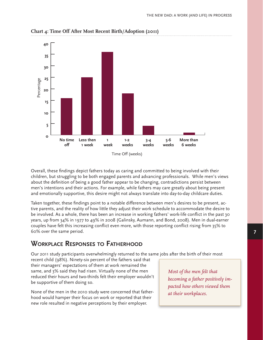

**Chart 4: Time Off After Most Recent Birth/Adoption (2011)**

Overall, these findings depict fathers today as caring and committed to being involved with their children, but struggling to be both engaged parents and advancing professionals. While men's views about the definition of being a good father appear to be changing, contradictions persist between men's intentions and their actions. For example, while fathers may care greatly about being present and emotionally supportive, this desire might not always translate into day-to-day childcare duties.

Taken together, these findings point to a notable difference between men's desires to be present, active parents, and the reality of how little they adjust their work schedule to accommodate the desire to be involved. As a whole, there has been an increase in working fathers' work-life conflict in the past 30 years, up from 34% in 1977 to 49% in 2008 (Galinsky, Aumann, and Bond, 2008). Men in dual-earner couples have felt this increasing conflict even more, with those reporting conflict rising from 35% to 60% over the same period.

## **Workplace Responses to Fatherhood**

Our 2011 study participants overwhelmingly returned to the same jobs after the birth of their most

recent child (98%). Ninety-six percent of the fathers said that their managers' expectations of them at work remained the same, and 3% said they had risen. Virtually none of the men reduced their hours and two-thirds felt their employer wouldn't be supportive of them doing so.

None of the men in the 2010 study were concerned that fatherhood would hamper their focus on work or reported that their new role resulted in negative perceptions by their employer.

*Most of the men felt that becoming a father positively impacted how others viewed them at their workplaces.*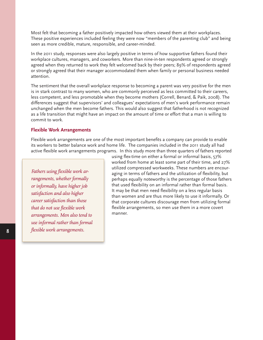Most felt that becoming a father positively impacted how others viewed them at their workplaces. These positive experiences included feeling they were now "members of the parenting club" and being seen as more credible, mature, responsible, and career-minded.

In the 2011 study, responses were also largely positive in terms of how supportive fathers found their workplace cultures, managers, and coworkers. More than nine-in-ten respondents agreed or strongly agreed when they returned to work they felt welcomed back by their peers; 89% of respondents agreed or strongly agreed that their manager accommodated them when family or personal business needed attention.

The sentiment that the overall workplace response to becoming a parent was very positive for the men is in stark contrast to many women, who are commonly perceived as less committed to their careers, less competent, and less promotable when they become mothers (Correll, Benard, & Paik, 2008). The differences suggest that supervisors' and colleagues' expectations of men's work performance remain unchanged when the men become fathers. This would also suggest that fatherhood is not recognized as a life transition that might have an impact on the amount of time or effort that a man is willing to commit to work.

#### **Flexible Work Arrangements**

Flexible work arrangements are one of the most important benefits a company can provide to enable its workers to better balance work and home life. The companies included in the 2011 study all had active flexible work arrangements programs. In this study more than three quarters of fathers reported

*Fathers using flexible work arrangements, whether formally or informally, have higher job satisfaction and also higher career satisfaction than those that do not use flexible work arrangements. Men also tend to use informal rather than formal flexible work arrangements.* 

using flex-time on either a formal or informal basis, 57% worked from home at least some part of their time, and 27% utilized compressed workweeks. These numbers are encouraging in terms of fathers and the utilization of flexibility, but perhaps equally noteworthy is the percentage of those fathers that used flexibility on an informal rather than formal basis. It may be that men need flexibility on a less regular basis than women and are thus more likely to use it informally. Or that corporate cultures discourage men from utilizing formal flexible arrangements, so men use them in a more covert manner.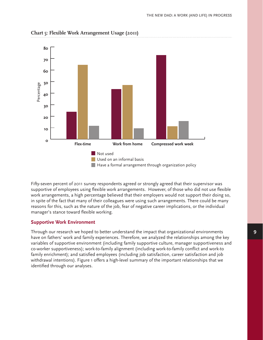

#### **Chart 5: Flexible Work Arrangement Usage (2011)**

Fifty-seven percent of 2011 survey respondents agreed or strongly agreed that their supervisor was supportive of employees using flexible work arrangements. However, of those who did not use flexible work arrangements, a high percentage believed that their employers would not support their doing so, in spite of the fact that many of their colleagues were using such arrangements. There could be many reasons for this, such as the nature of the job, fear of negative career implications, or the individual manager's stance toward flexible working.

#### **Supportive Work Environment**

Through our research we hoped to better understand the impact that organizational environments have on fathers' work and family experiences. Therefore, we analyzed the relationships among the key variables of supportive environment (including family supportive culture, manager supportiveness and co-worker supportiveness); work-to-family alignment (including work-to-family conflict and work-to family enrichment); and satisfied employees (including job satisfaction, career satisfaction and job withdrawal intentions). Figure 1 offers a high-level summary of the important relationships that we identified through our analyses.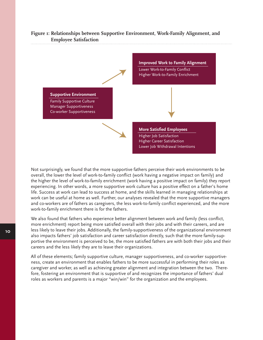

#### **Figure 1: Relationships between Supportive Environment, Work-Family Alignment, and Employee Satisfaction**

Not surprisingly, we found that the more supportive fathers perceive their work environments to be overall, the lower the level of work-to-family conflict (work having a negative impact on family) and the higher the level of work-to-family enrichment (work having a positive impact on family) they report experiencing. In other words, a more supportive work culture has a positive effect on a father's home life. Success at work can lead to success at home, and the skills learned in managing relationships at work can be useful at home as well. Further, our analyses revealed that the more supportive managers and co-workers are of fathers as caregivers, the less work-to-family conflict experienced, and the more work-to-family enrichment there is for the fathers.

We also found that fathers who experience better alignment between work and family (less conflict, more enrichment) report being more satisfied overall with their jobs and with their careers, and are less likely to leave their jobs. Additionally, the family-supportiveness of the organizational environment also impacts fathers' job satisfaction and career satisfaction directly, such that the more family-supportive the environment is perceived to be, the more satisfied fathers are with both their jobs and their careers and the less likely they are to leave their organizations.

All of these elements; family supportive culture, manager supportiveness, and co-worker supportiveness, create an environment that enables fathers to be more successful in performing their roles as caregiver and worker, as well as achieving greater alignment and integration between the two. Therefore, fostering an environment that is supportive of and recognizes the importance of fathers' dual roles as workers and parents is a major "win/win" for the organization and the employees.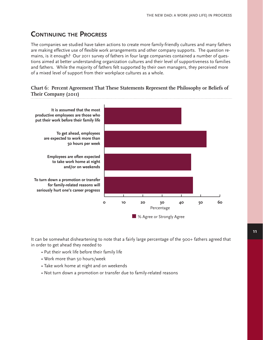# **Continuing the Progress**

The companies we studied have taken actions to create more family-friendly cultures and many fathers are making effective use of flexible work arrangements and other company supports. The question remains, is it enough? Our 2011 survey of fathers in four large companies contained a number of questions aimed at better understanding organization cultures and their level of supportiveness to families and fathers. While the majority of fathers felt supported by their own managers, they perceived more of a mixed level of support from their workplace cultures as a whole.

#### **Chart 6: Percent Agreement That These Statements Represent the Philosophy or Beliefs of Their Company (2011)**



It can be somewhat disheartening to note that a fairly large percentage of the 900+ fathers agreed that in order to get ahead they needed to

- Put their work life before their family life
- Work more than 50 hours/week
- Take work home at night and on weekends
- Not turn down a promotion or transfer due to family-related reasons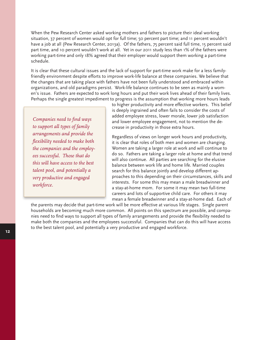When the Pew Research Center asked working mothers and fathers to picture their ideal working situation, 37 percent of women would opt for full time; 50 percent part time; and 11 percent wouldn't have a job at all (Pew Research Center, 2013a). Of the fathers, 75 percent said full time, 15 percent said part time, and 10 percent wouldn't work at all. Yet in our 2011 study less than 1% of the fathers were working part-time and only 18% agreed that their employer would support them working a part-time schedule.

It is clear that these cultural issues and the lack of support for part-time work make for a less familyfriendly environment despite efforts to improve work-life balance at these companies. We believe that the changes that are taking place with fathers have not been fully understood and embraced within organizations, and old paradigms persist. Work-life balance continues to be seen as mainly a women's issue. Fathers are expected to work long hours and put their work lives ahead of their family lives. Perhaps the single greatest impediment to progress is the assumption that working more hours leads

*Companies need to find ways to support all types of family arrangements and provide the flexibility needed to make both the companies and the employees successful. Those that do this will have access to the best talent pool, and potentially a very productive and engaged workforce.*

to higher productivity and more effective workers. This belief is deeply ingrained and often fails to consider the costs of added employee stress, lower morale, lower job satisfaction and lower employee engagement, not to mention the decrease in productivity in those extra hours.

Regardless of views on longer work hours and productivity, it is clear that roles of both men and women are changing. Women are taking a larger role at work and will continue to do so. Fathers are taking a larger role at home and that trend will also continue. All parties are searching for the elusive balance between work life and home life. Married couples search for this balance jointly and develop different approaches to this depending on their circumstances, skills and interests. For some this may mean a male breadwinner and a stay-at-home mom. For some it may mean two full-time careers and lots of supportive child care. For others it may mean a female breadwinner and a stay-at-home dad. Each of

the parents may decide that part-time work will be more effective at various life stages. Single parent households are becoming much more common. All points on this spectrum are possible, and companies need to find ways to support all types of family arrangements and provide the flexibility needed to make both the companies and the employees successful. Companies that can do this will have access to the best talent pool, and potentially a very productive and engaged workforce.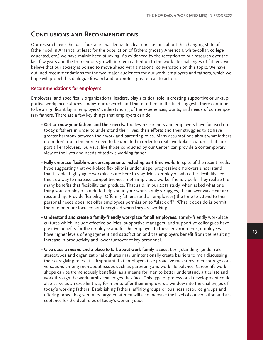### **Conclusions and Recommendations**

Our research over the past four years has led us to clear conclusions about the changing state of fatherhood in America; at least for the population of fathers (mostly American, white-collar, college educated, etc.) we have mainly been studying. As evidenced by the reception to our research over the last few years and the tremendous growth in media attention to the work-life challenges of fathers, we believe that our society is poised to move ahead with a national conversation on this topic. We have outlined recommendations for the two major audiences for our work, employers and fathers, which we hope will propel this dialogue forward and promote a greater call to action.

#### **Recommendations for employers**

Employers, and specifically organizational leaders, play a critical role in creating supportive or un-supportive workplace cultures. Today, our research and that of others in the field suggests there continues to be a significant lag in employers' understanding of the experiences, wants, and needs of contemporary fathers. There are a few key things that employers can do.

- **Get to know your fathers and their needs.** Too few researchers and employers have focused on today's fathers in order to understand their lives, their efforts and their struggles to achieve greater harmony between their work and parenting roles. Many assumptions about what fathers do or don't do in the home need to be updated in order to create workplace cultures that support all employees. Surveys, like those conducted by our Center, can provide a contemporary view of the lives and needs of today's working father.
- **Fully embrace flexible work arrangements including part-time work.** In spite of the recent media hype suggesting that workplace flexibility is under siege, progressive employers understand that flexible, highly agile workplaces are here to stay. Most employers who offer flexibility see this as a way to increase competitiveness, not simply as a worker friendly perk. They realize the many benefits that flexibility can produce. That said, in our 2011 study, when asked what one thing your employer can do to help you in your work-family struggles, the answer was clear and resounding. Provide flexibility. Offering fathers (and all employees) the time to attend to their personal needs does not offer employees permission to "slack off". What it does do is permit them to be more focused and energized when they are working.
- **Understand and create a family-friendly workplace for all employees.** Family-friendly workplace cultures which include effective policies, supportive managers, and supportive colleagues have positive benefits for the employee and for the employer. In these environments, employees have higher levels of engagement and satisfaction and the employers benefit from the resulting increase in productivity and lower turnover of key personnel.
- **Give dads a means and a place to talk about work-family issues.** Long-standing gender role stereotypes and organizational cultures may unintentionally create barriers to men discussing their caregiving roles. It is important that employers take proactive measures to encourage conversations among men about issues such as parenting and work-life balance. Career-life workshops can be tremendously beneficial as a means for men to better understand, articulate and work through the work-family challenges they face. This type of professional development could also serve as an excellent way for men to offer their employers a window into the challenges of today's working fathers. Establishing fathers' affinity groups or business resource groups and offering brown bag seminars targeted at men will also increase the level of conversation and acceptance for the dual roles of today's working dads.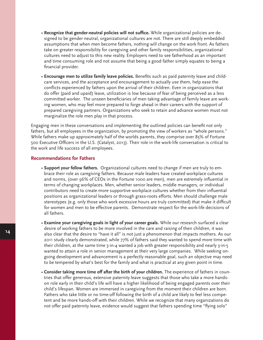- **Recognize that gender-neutral policies will not suffice.** While organizational policies are designed to be gender neutral, organizational cultures are not. There are still deeply embedded assumptions that when men become fathers, nothing will change on the work front. As fathers take on greater responsibility for caregiving and other family responsibilities, organizational cultures need to adjust to this new reality. Employers need to see fatherhood as an important and time consuming role and not assume that being a good father simply equates to being a financial provider.
- **Encourage men to utilize family leave policies.** Benefits such as paid paternity leave and childcare services, and the acceptance and encouragement to actually use them, help ease the conflicts experienced by fathers upon the arrival of their children. Even in organizations that do offer (paid and upaid) leave, utilization is low because of fear of being perceived as a less committed worker. The unseen beneficiaries of men taking advantage of family leave are working women, who may feel more prepared to forge ahead in their careers with the support of prepared caregiving partners. Organizations who seek to retain and advance women must not marginalize the role men play in that process.

Engaging men in these conversations and implementing the outlined policies can benefit not only fathers, but all employees in the organization, by promoting the view of workers as "whole persons." While fathers make up approximately half of the worlds parents, they comprise over 85% of Fortune 500 Executive Officers in the U.S. (Catalyst, 2013). Their role in the work-life conversation is critical to the work and life success of all employees.

#### **Recommendations for Fathers**

- **Support your fellow fathers.** Organizational cultures need to change if men are truly to embrace their role as caregiving fathers. Because male leaders have created workplace cultures and norms, (over 96% of CEOs in the Fortune 1000 are men), men are extremely influential in terms of changing workplaces. Men, whether senior leaders, middle managers, or individual contributors need to create more supportive workplace cultures whether from their influential positions as organizational leaders or through grass-roots efforts. Men should challenge male stereotypes (e.g. only those who work excessive hours are truly committed) that make it difficult for women and men to be effective parents. Demonstrate respect for the work-life decisions of all fathers.
- **Examine your caregiving goals in light of your career goals.** While our research surfaced a clear desire of working fathers to be more involved in the care and raising of their children, it was also clear that the desire to "have it all" is not just a phenomenon that impacts mothers. As our 2011 study clearly demonstrated, while 77% of fathers said they wanted to spend more time with their children, at the same time 3-in-4 wanted a job with greater responsibility and nearly 3-in-5 wanted to attain a role in senior management at their very large companies. While seeking ongoing development and advancement is a perfectly reasonable goal, such an objective may need to be tempered by what's best for the family and what is practical at any given point in time.
- **Consider taking more time off after the birth of your children.** The experience of fathers in countries that offer generous, extensive paternity leave suggests that those who take a more handson role early in their child's life will have a higher likelihood of being engaged parents over their child's lifespan. Women are immersed in caregiving from the moment their children are born. Fathers who take little or no time-off following the birth of a child are likely to feel less competent and be more hands-off with their children. While we recognize that many organizations do not offer paid paternity leave, evidence would suggest that fathers spending time "flying solo"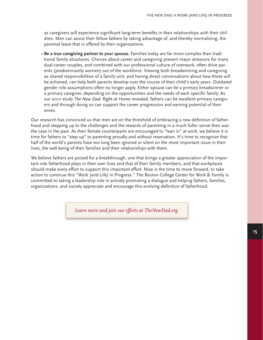as caregivers will experience significant long-term benefits in their relationships with their children. Men can assist their fellow fathers by taking advantage of, and thereby normalizing, the parental leave that is offered by their organizations.

• **Be a true caregiving partner to your spouse.** Families today are far more complex than traditional family structures. Choices about career and caregiving present major stressors for many dual-career couples, and combined with our professional culture of overwork, often drive parents (predominantly women) out of the workforce. Viewing both breadwinning and caregiving as shared responsibilities of a family unit, and having direct conversations about how those will be achieved, can help both parents develop over the course of their child's early years. Outdated gender role assumptions often no longer apply. Either spouse can be a primary breadwinner or a primary caregiver, depending on the opportunities and the needs of each specific family. As our 2012 study *The New Dad: Right at Home* revealed, fathers can be excellent primary caregivers and through doing so can support the career progression and earning potential of their wives.

Our research has convinced us that men are on the threshold of embracing a new definition of fatherhood and stepping up to the challenges and the rewards of parenting in a much fuller sense then was the case in the past. As their female counterparts are encouraged to "lean in" at work, we believe it is time for fathers to "step up" to parenting proudly and without reservation. It's time to recognize that half of the world's parents have too long been ignored or silent on the most important issue in their lives, the well-being of their families and their relationships with them.

We believe fathers are poised for a breakthrough, one that brings a greater appreciation of the important role fatherhood plays in their own lives and that of their family members, and that workplaces should make every effort to support this important effort. Now is the time to move forward, to take action to continue this "Work (and Life) in Progress." The Boston College Center for Work & Family is committed to taking a leadership role in actively promoting a dialogue and helping fathers, families, organizations, and society appreciate and encourage this evolving definition of fatherhood.

*Learn more and join our efforts at TheNewDad.org*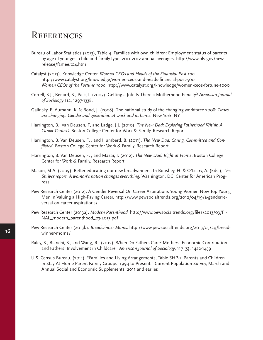# **REFERENCES**

- Bureau of Labor Statistics (2013), Table 4. Families with own children: Employment status of parents by age of youngest child and family type, 2011-2012 annual averages. http://www.bls.gov/news. release/famee.t04.htm
- Catalyst (2013). Knowledge Center. *Women CEOs and Heads of the Financial Post 500*. http://www.catalyst.org/knowledge/women-ceos-and-heads-financial-post-500 *Women CEOs of the Fortune 1000*. http://www.catalyst.org/knowledge/women-ceos-fortune-1000
- Correll, S.J., Benard, S., Paik, I. (2007). Getting a Job: Is There a Motherhood Penalty? *American Journal of Sociology* 112, 1297-1338.
- Galinsky, E, Aumann, K, & Bond, J. (2008). The national study of the changing workforce 2008: *Times are changing: Gender and generation at work and at home.* New York, NY
- Harrington, B., Van Deusen, F, and Ladge, J.J. (2010). *The New Dad: Exploring Fatherhood Within A Career Context*. Boston College Center for Work & Family. Research Report
- Harrington, B. Van Deusen, F. , and Humberd, B. (2011). *The New Dad: Caring, Committed and Conflicted*. Boston College Center for Work & Family. Research Report
- Harrington, B. Van Deusen, F. , and Mazar, I. (2012). *The New Dad: Right at Home*. Boston College Center for Work & Family. Research Report
- Mason, M.A. (2009). Better educating our new breadwinners. In Boushey, H. & O'Leary, A. (Eds.), *The Shriver report. A woman's nation changes everything*. Washington, DC: Center for American Progress.
- Pew Research Center (2012). A Gender Reversal On Career Aspirations Young Women Now Top Young Men in Valuing a High-Paying Career. http://www.pewsocialtrends.org/2012/04/19/a-genderreversal-on-career-aspirations/
- Pew Research Center (2013a). *Modern Parenthood.* http://www.pewsocialtrends.org/files/2013/03/FI-NAL\_modern\_parenthood\_03-2013.pdf
- Pew Research Center (2013b). *Breadwinner Moms*. http://www.pewsocialtrends.org/2013/05/29/breadwinner-moms/
- Raley, S., Bianchi, S., and Wang, R., (2012). When Do Fathers Care? Mothers' Economic Contribution and Fathers' Involvement in Childcare. *American Journal of Sociology*, 117 (5), 1422-1459
- U.S. Census Bureau. (2011). "Families and Living Arrangements, Table SHP-1. Parents and Children in Stay-At-Home Parent Family Groups: 1994 to Present." Current Population Survey, March and Annual Social and Economic Supplements, 2011 and earlier.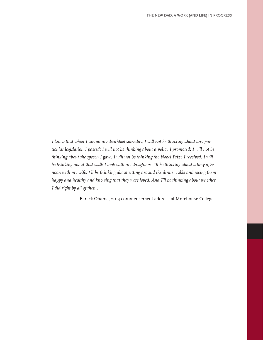*I know that when I am on my deathbed someday, I will not be thinking about any particular legislation I passed; I will not be thinking about a policy I promoted; I will not be thinking about the speech I gave, I will not be thinking the Nobel Prize I received. I will be thinking about that walk I took with my daughters. I'll be thinking about a lazy afternoon with my wife. I'll be thinking about sitting around the dinner table and seeing them happy and healthy and knowing that they were loved. And I'll be thinking about whether I did right by all of them.*

- Barack Obama, 2013 commencement address at Morehouse College